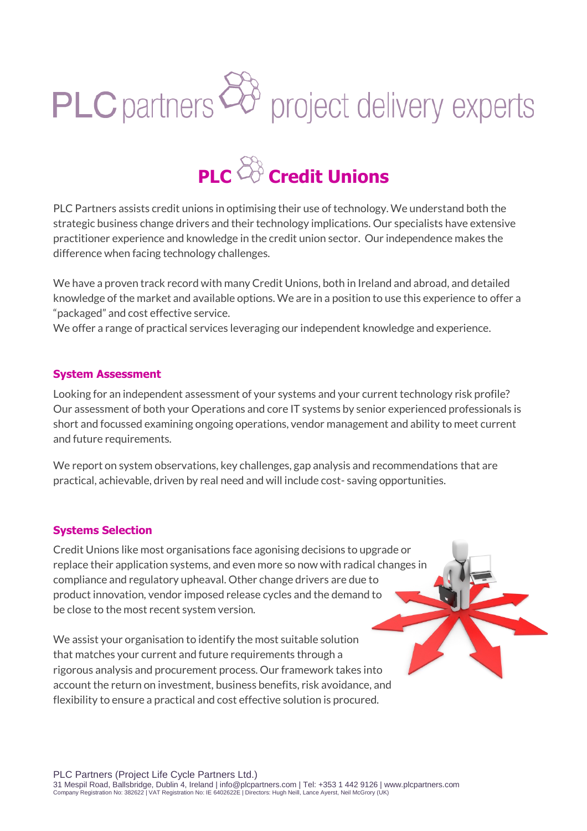# PLC partners  $\overleftrightarrow{C}$  project delivery experts



PLC Partners assists credit unions in optimising their use of technology. We understand both the strategic business change drivers and their technology implications. Our specialists have extensive practitioner experience and knowledge in the credit union sector. Our independence makes the difference when facing technology challenges.

We have a proven track record with many Credit Unions, both in Ireland and abroad, and detailed knowledge of the market and available options. We are in a position to use this experience to offer a "packaged" and cost effective service.

We offer a range of practical services leveraging our independent knowledge and experience.

### **System Assessment**

Looking for an independent assessment of your systems and your current technology risk profile? Our assessment of both your Operations and core IT systems by senior experienced professionals is short and focussed examining ongoing operations, vendor management and ability to meet current and future requirements.

We report on system observations, key challenges, gap analysis and recommendations that are practical, achievable, driven by real need and will include cost- saving opportunities.

## **Systems Selection**

Credit Unions like most organisations face agonising decisions to upgrade or replace their application systems, and even more so now with radical changes in compliance and regulatory upheaval. Other change drivers are due to product innovation, vendor imposed release cycles and the demand to be close to the most recent system version.

We assist your organisation to identify the most suitable solution that matches your current and future requirements through a rigorous analysis and procurement process. Our framework takes into account the return on investment, business benefits, risk avoidance, and flexibility to ensure a practical and cost effective solution is procured.